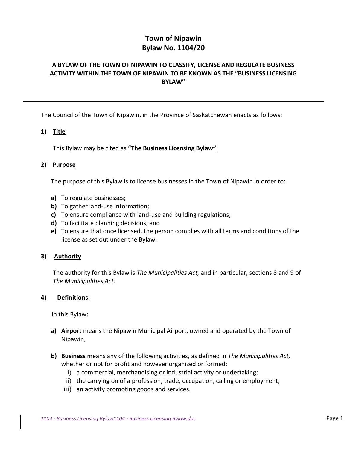# **Town of Nipawin Bylaw No. 1104/20**

# **A BYLAW OF THE TOWN OF NIPAWIN TO CLASSIFY, LICENSE AND REGULATE BUSINESS ACTIVITY WITHIN THE TOWN OF NIPAWIN TO BE KNOWN AS THE "BUSINESS LICENSING BYLAW"**

The Council of the Town of Nipawin, in the Province of Saskatchewan enacts as follows:

# **1) Title**

This Bylaw may be cited as **"The Business Licensing Bylaw"**

## **2) Purpose**

The purpose of this Bylaw is to license businesses in the Town of Nipawin in order to:

- **a)** To regulate businesses;
- **b)** To gather land-use information;
- **c)** To ensure compliance with land-use and building regulations;
- **d)** To facilitate planning decisions; and
- **e)** To ensure that once licensed, the person complies with all terms and conditions of the license as set out under the Bylaw.

## **3) Authority**

The authority for this Bylaw is *The Municipalities Act,* and in particular, sections 8 and 9 of *The Municipalities Act*.

## **4) Definitions:**

In this Bylaw:

- **a) Airport** means the Nipawin Municipal Airport, owned and operated by the Town of Nipawin,
- **b) Business** means any of the following activities, as defined in *The Municipalities Act,* whether or not for profit and however organized or formed:
	- i) a commercial, merchandising or industrial activity or undertaking;
	- ii) the carrying on of a profession, trade, occupation, calling or employment;
	- iii) an activity promoting goods and services.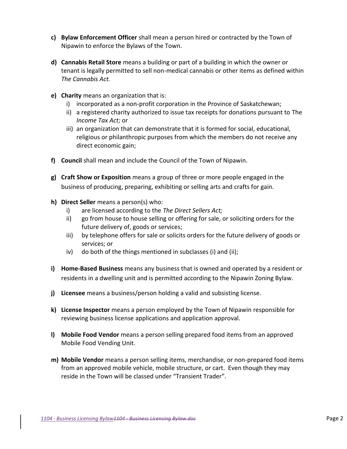- **c) Bylaw Enforcement Officer** shall mean a person hired or contracted by the Town of Nipawin to enforce the Bylaws of the Town.
- **d) Cannabis Retail Store** means a building or part of a building in which the owner or tenant is legally permitted to sell non-medical cannabis or other items as defined within *The Cannabis Act.*
- **e) Charity** means an organization that is:
	- i) incorporated as a non-profit corporation in the Province of Saskatchewan;
	- ii) a registered charity authorized to issue tax receipts for donations pursuant to The *Income Tax Act;* or
	- iii) an organization that can demonstrate that it is formed for social, educational, religious or philanthropic purposes from which the members do not receive any direct economic gain;
- **f) Council** shall mean and include the Council of the Town of Nipawin.
- **g) Craft Show or Exposition** means a group of three or more people engaged in the business of producing, preparing, exhibiting or selling arts and crafts for gain.
- **h) Direct Seller** means a person(s) who:
	- i) are licensed according to the *The Direct Sellers Act;*
	- ii) go from house to house selling or offering for sale, or soliciting orders for the future delivery of, goods or services;
	- iii) by telephone offers for sale or solicits orders for the future delivery of goods or services; or
	- iv) do both of the things mentioned in subclasses (i) and (ii);
- **i) Home-Based Business** means any business that is owned and operated by a resident or residents in a dwelling unit and is permitted according to the Nipawin Zoning Bylaw.
- **j) Licensee** means a business/person holding a valid and subsisting license.
- **k) License Inspector** means a person employed by the Town of Nipawin responsible for reviewing business license applications and application approval.
- **l) Mobile Food Vendor** means a person selling prepared food items from an approved Mobile Food Vending Unit.
- **m) Mobile Vendor** means a person selling items, merchandise, or non-prepared food items from an approved mobile vehicle, mobile structure, or cart. Even though they may reside in the Town will be classed under "Transient Trader".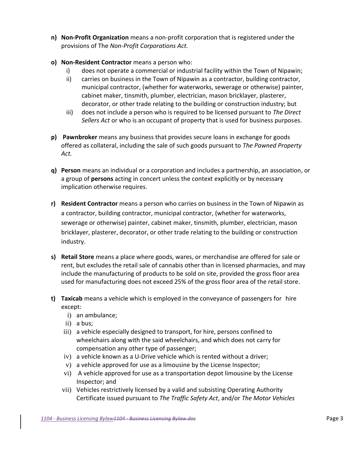- **n) Non-Profit Organization** means a non-profit corporation that is registered under the provisions of The *Non-Profit Corporations Act.*
- **o) Non-Resident Contractor** means a person who:
	- i) does not operate a commercial or industrial facility within the Town of Nipawin;
	- ii) carries on business in the Town of Nipawin as a contractor, building contractor, municipal contractor, (whether for waterworks, sewerage or otherwise) painter, cabinet maker, tinsmith, plumber, electrician, mason bricklayer, plasterer, decorator, or other trade relating to the building or construction industry; but
	- iii) does not include a person who is required to be licensed pursuant to *The Direct Sellers Act* or who is an occupant of property that is used for business purposes.
- **p) Pawnbroker** means any business that provides secure loans in exchange for goods offered as collateral, including the sale of such goods pursuant to *The Pawned Property Act.*
- **q) Person** means an individual or a corporation and includes a partnership, an association, or a group of **persons** acting in concert unless the context explicitly or by necessary implication otherwise requires.
- **r) Resident Contractor** means a person who carries on business in the Town of Nipawin as a contractor, building contractor, municipal contractor, (whether for waterworks, sewerage or otherwise) painter, cabinet maker, tinsmith, plumber, electrician, mason bricklayer, plasterer, decorator, or other trade relating to the building or construction industry.
- **s) Retail Store** means a place where goods, wares, or merchandise are offered for sale or rent, but excludes the retail sale of cannabis other than in licensed pharmacies, and may include the manufacturing of products to be sold on site, provided the gross floor area used for manufacturing does not exceed 25% of the gross floor area of the retail store.
- **t) Taxicab** means a vehicle which is employed in the conveyance of passengers for hire except:
	- i) an ambulance;
	- ii) a bus;
	- iii) a vehicle especially designed to transport, for hire, persons confined to wheelchairs along with the said wheelchairs, and which does not carry for compensation any other type of passenger;
	- iv) a vehicle known as a U-Drive vehicle which is rented without a driver;
	- v) a vehicle approved for use as a limousine by the License Inspector;
	- vi) A vehicle approved for use as a transportation depot limousine by the License Inspector; and
	- vii) Vehicles restrictively licensed by a valid and subsisting Operating Authority Certificate issued pursuant to *The Traffic Safety Act*, and/or *The Motor Vehicles*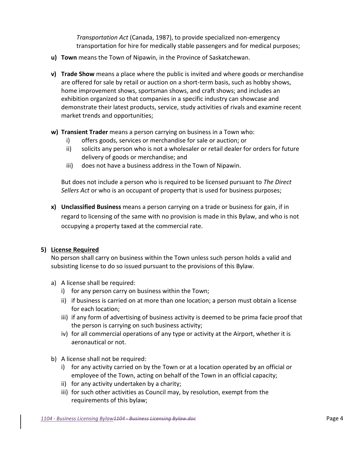*Transportation Act* (Canada, 1987), to provide specialized non-emergency transportation for hire for medically stable passengers and for medical purposes;

- **u) Town** means the Town of Nipawin, in the Province of Saskatchewan.
- **v) Trade Show** means a place where the public is invited and where goods or merchandise are offered for sale by retail or auction on a short-term basis, such as hobby shows, home improvement shows, sportsman shows, and craft shows; and includes an exhibition organized so that companies in a specific industry can showcase and demonstrate their latest products, service, study activities of rivals and examine recent market trends and opportunities;
- **w) Transient Trader** means a person carrying on business in a Town who:
	- i) offers goods, services or merchandise for sale or auction; or
	- ii) solicits any person who is not a wholesaler or retail dealer for orders for future delivery of goods or merchandise; and
	- iii) does not have a business address in the Town of Nipawin.

But does not include a person who is required to be licensed pursuant to *The Direct Sellers Act* or who is an occupant of property that is used for business purposes;

**x) Unclassified Business** means a person carrying on a trade or business for gain, if in regard to licensing of the same with no provision is made in this Bylaw, and who is not occupying a property taxed at the commercial rate.

## **5) License Required**

No person shall carry on business within the Town unless such person holds a valid and subsisting license to do so issued pursuant to the provisions of this Bylaw.

- a) A license shall be required:
	- i) for any person carry on business within the Town;
	- ii) if business is carried on at more than one location; a person must obtain a license for each location;
	- iii) if any form of advertising of business activity is deemed to be prima facie proof that the person is carrying on such business activity;
	- iv) for all commercial operations of any type or activity at the Airport, whether it is aeronautical or not.
- b) A license shall not be required:
	- i) for any activity carried on by the Town or at a location operated by an official or employee of the Town, acting on behalf of the Town in an official capacity;
	- ii) for any activity undertaken by a charity;
	- iii) for such other activities as Council may, by resolution, exempt from the requirements of this bylaw;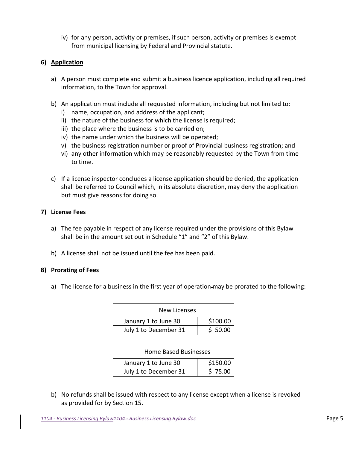iv) for any person, activity or premises, if such person, activity or premises is exempt from municipal licensing by Federal and Provincial statute.

# **6) Application**

- a) A person must complete and submit a business licence application, including all required information, to the Town for approval.
- b) An application must include all requested information, including but not limited to:
	- i) name, occupation, and address of the applicant;
	- ii) the nature of the business for which the license is required;
	- iii) the place where the business is to be carried on;
	- iv) the name under which the business will be operated;
	- v) the business registration number or proof of Provincial business registration; and
	- vi) any other information which may be reasonably requested by the Town from time to time.
- c) If a license inspector concludes a license application should be denied, the application shall be referred to Council which, in its absolute discretion, may deny the application but must give reasons for doing so.

# **7) License Fees**

- a) The fee payable in respect of any license required under the provisions of this Bylaw shall be in the amount set out in Schedule "1" and "2" of this Bylaw.
- b) A license shall not be issued until the fee has been paid.

# **8) Prorating of Fees**

a) The license for a business in the first year of operation-may be prorated to the following:

| New Licenses          |          |  |  |  |
|-----------------------|----------|--|--|--|
| January 1 to June 30  | \$100.00 |  |  |  |
| July 1 to December 31 | \$50.00  |  |  |  |

| Home Based Businesses |          |  |  |  |
|-----------------------|----------|--|--|--|
| January 1 to June 30  | \$150.00 |  |  |  |
| July 1 to December 31 | \$75.00  |  |  |  |

b) No refunds shall be issued with respect to any license except when a license is revoked as provided for by Section 15.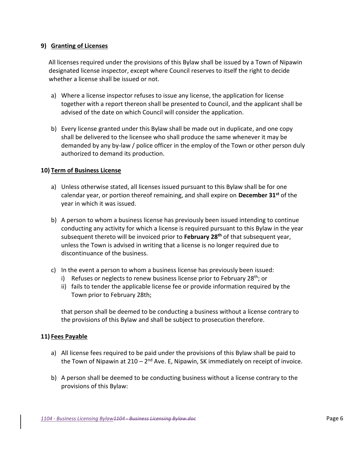# **9) Granting of Licenses**

 All licenses required under the provisions of this Bylaw shall be issued by a Town of Nipawin designated license inspector, except where Council reserves to itself the right to decide whether a license shall be issued or not.

- a) Where a license inspector refuses to issue any license, the application for license together with a report thereon shall be presented to Council, and the applicant shall be advised of the date on which Council will consider the application.
- b) Every license granted under this Bylaw shall be made out in duplicate, and one copy shall be delivered to the licensee who shall produce the same whenever it may be demanded by any by-law / police officer in the employ of the Town or other person duly authorized to demand its production.

# **10) Term of Business License**

- a) Unless otherwise stated, all licenses issued pursuant to this Bylaw shall be for one calendar year, or portion thereof remaining, and shall expire on **December 31st** of the year in which it was issued.
- b) A person to whom a business license has previously been issued intending to continue conducting any activity for which a license is required pursuant to this Bylaw in the year subsequent thereto will be invoiced prior to **February 28th** of that subsequent year, unless the Town is advised in writing that a license is no longer required due to discontinuance of the business.
- c) In the event a person to whom a business license has previously been issued:
	- i) Refuses or neglects to renew business license prior to February 28<sup>th</sup>; or
	- ii) fails to tender the applicable license fee or provide information required by the Town prior to February 28th;

that person shall be deemed to be conducting a business without a license contrary to the provisions of this Bylaw and shall be subject to prosecution therefore.

## **11) Fees Payable**

- a) All license fees required to be paid under the provisions of this Bylaw shall be paid to the Town of Nipawin at 210 – 2<sup>nd</sup> Ave. E, Nipawin, SK immediately on receipt of invoice.
- b) A person shall be deemed to be conducting business without a license contrary to the provisions of this Bylaw: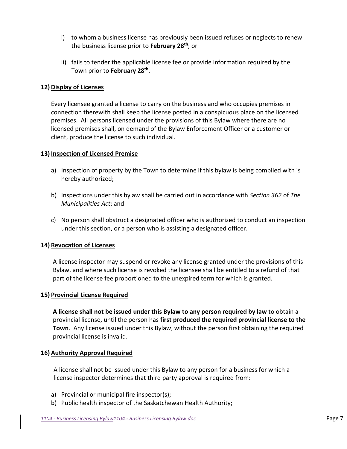- i) to whom a business license has previously been issued refuses or neglects to renew the business license prior to **February 28th**; or
- ii) fails to tender the applicable license fee or provide information required by the Town prior to **February 28th** .

# **12) Display of Licenses**

Every licensee granted a license to carry on the business and who occupies premises in connection therewith shall keep the license posted in a conspicuous place on the licensed premises. All persons licensed under the provisions of this Bylaw where there are no licensed premises shall, on demand of the Bylaw Enforcement Officer or a customer or client, produce the license to such individual.

# **13) Inspection of Licensed Premise**

- a) Inspection of property by the Town to determine if this bylaw is being complied with is hereby authorized;
- b) Inspections under this bylaw shall be carried out in accordance with *Section 362* of *The Municipalities Act*; and
- c) No person shall obstruct a designated officer who is authorized to conduct an inspection under this section, or a person who is assisting a designated officer.

# **14) Revocation of Licenses**

A license inspector may suspend or revoke any license granted under the provisions of this Bylaw, and where such license is revoked the licensee shall be entitled to a refund of that part of the license fee proportioned to the unexpired term for which is granted.

## **15) Provincial License Required**

**A license shall not be issued under this Bylaw to any person required by law** to obtain a provincial license, until the person has **first produced the required provincial license to the Town**. Any license issued under this Bylaw, without the person first obtaining the required provincial license is invalid.

## **16) Authority Approval Required**

A license shall not be issued under this Bylaw to any person for a business for which a license inspector determines that third party approval is required from:

- a) Provincial or municipal fire inspector(s);
- b) Public health inspector of the Saskatchewan Health Authority;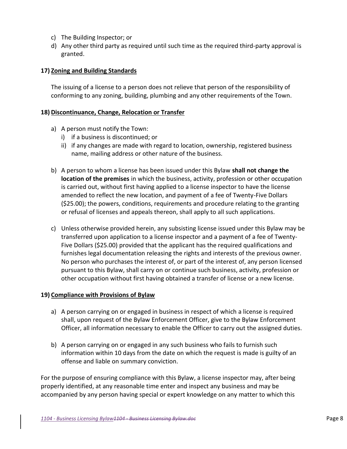- c) The Building Inspector; or
- d) Any other third party as required until such time as the required third-party approval is granted.

## **17) Zoning and Building Standards**

The issuing of a license to a person does not relieve that person of the responsibility of conforming to any zoning, building, plumbing and any other requirements of the Town.

#### **18) Discontinuance, Change, Relocation or Transfer**

- a) A person must notify the Town:
	- i) if a business is discontinued; or
	- ii) if any changes are made with regard to location, ownership, registered business name, mailing address or other nature of the business.
- b) A person to whom a license has been issued under this Bylaw **shall not change the location of the premises** in which the business, activity, profession or other occupation is carried out, without first having applied to a license inspector to have the license amended to reflect the new location, and payment of a fee of Twenty-Five Dollars (\$25.00); the powers, conditions, requirements and procedure relating to the granting or refusal of licenses and appeals thereon, shall apply to all such applications.
- c) Unless otherwise provided herein, any subsisting license issued under this Bylaw may be transferred upon application to a license inspector and a payment of a fee of Twenty-Five Dollars (\$25.00) provided that the applicant has the required qualifications and furnishes legal documentation releasing the rights and interests of the previous owner. No person who purchases the interest of, or part of the interest of, any person licensed pursuant to this Bylaw, shall carry on or continue such business, activity, profession or other occupation without first having obtained a transfer of license or a new license.

## **19) Compliance with Provisions of Bylaw**

- a) A person carrying on or engaged in business in respect of which a license is required shall, upon request of the Bylaw Enforcement Officer, give to the Bylaw Enforcement Officer, all information necessary to enable the Officer to carry out the assigned duties.
- b) A person carrying on or engaged in any such business who fails to furnish such information within 10 days from the date on which the request is made is guilty of an offense and liable on summary conviction.

For the purpose of ensuring compliance with this Bylaw, a license inspector may, after being properly identified, at any reasonable time enter and inspect any business and may be accompanied by any person having special or expert knowledge on any matter to which this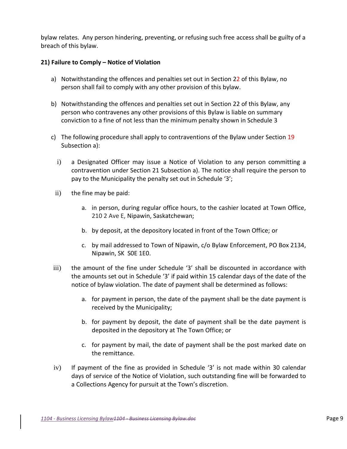bylaw relates. Any person hindering, preventing, or refusing such free access shall be guilty of a breach of this bylaw.

# **21) Failure to Comply – Notice of Violation**

- a) Notwithstanding the offences and penalties set out in Section 22 of this Bylaw, no person shall fail to comply with any other provision of this bylaw.
- b) Notwithstanding the offences and penalties set out in Section 22 of this Bylaw, any person who contravenes any other provisions of this Bylaw is liable on summary conviction to a fine of not less than the minimum penalty shown in Schedule 3
- c) The following procedure shall apply to contraventions of the Bylaw under Section 19 Subsection a):
	- i) a Designated Officer may issue a Notice of Violation to any person committing a contravention under Section 21 Subsection a). The notice shall require the person to pay to the Municipality the penalty set out in Schedule '3';
- ii) the fine may be paid:
	- a. in person, during regular office hours, to the cashier located at Town Office, 210 2 Ave E, Nipawin, Saskatchewan;
	- b. by deposit, at the depository located in front of the Town Office; or
	- c. by mail addressed to Town of Nipawin, c/o Bylaw Enforcement, PO Box 2134, Nipawin, SK S0E 1E0.
- iii) the amount of the fine under Schedule '3' shall be discounted in accordance with the amounts set out in Schedule '3' if paid within 15 calendar days of the date of the notice of bylaw violation. The date of payment shall be determined as follows:
	- a. for payment in person, the date of the payment shall be the date payment is received by the Municipality;
	- b. for payment by deposit, the date of payment shall be the date payment is deposited in the depository at The Town Office; or
	- c. for payment by mail, the date of payment shall be the post marked date on the remittance.
- iv) If payment of the fine as provided in Schedule '3' is not made within 30 calendar days of service of the Notice of Violation, such outstanding fine will be forwarded to a Collections Agency for pursuit at the Town's discretion.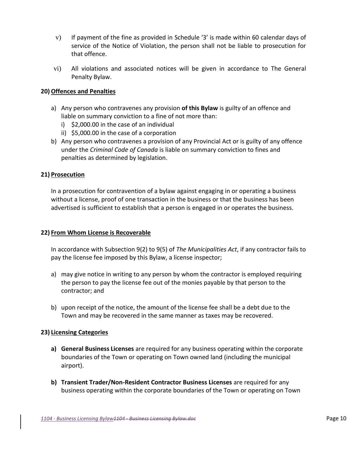- v) If payment of the fine as provided in Schedule '3' is made within 60 calendar days of service of the Notice of Violation, the person shall not be liable to prosecution for that offence.
- vi) All violations and associated notices will be given in accordance to The General Penalty Bylaw.

# **20) Offences and Penalties**

- a) Any person who contravenes any provision **of this Bylaw** is guilty of an offence and liable on summary conviction to a fine of not more than:
	- i) \$2,000.00 in the case of an individual
	- ii) \$5,000.00 in the case of a corporation
- b) Any person who contravenes a provision of any Provincial Act or is guilty of any offence under the *Criminal Code of Canada* is liable on summary conviction to fines and penalties as determined by legislation.

# **21) Prosecution**

In a prosecution for contravention of a bylaw against engaging in or operating a business without a license, proof of one transaction in the business or that the business has been advertised is sufficient to establish that a person is engaged in or operates the business.

## **22) From Whom License is Recoverable**

In accordance with Subsection 9(2) to 9(5) of *The Municipalities Act*, if any contractor fails to pay the license fee imposed by this Bylaw, a license inspector;

- a) may give notice in writing to any person by whom the contractor is employed requiring the person to pay the license fee out of the monies payable by that person to the contractor; and
- b) upon receipt of the notice, the amount of the license fee shall be a debt due to the Town and may be recovered in the same manner as taxes may be recovered.

## **23) Licensing Categories**

- **a) General Business Licenses** are required for any business operating within the corporate boundaries of the Town or operating on Town owned land (including the municipal airport).
- **b) Transient Trader/Non-Resident Contractor Business Licenses** are required for any business operating within the corporate boundaries of the Town or operating on Town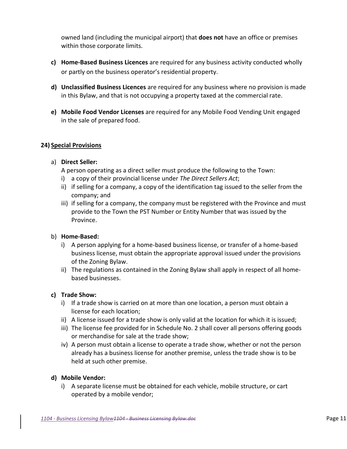owned land (including the municipal airport) that **does not** have an office or premises within those corporate limits.

- **c) Home-Based Business Licences** are required for any business activity conducted wholly or partly on the business operator's residential property.
- **d) Unclassified Business Licences** are required for any business where no provision is made in this Bylaw, and that is not occupying a property taxed at the commercial rate.
- **e) Mobile Food Vendor Licenses** are required for any Mobile Food Vending Unit engaged in the sale of prepared food.

# **24) Special Provisions**

## a) **Direct Seller:**

A person operating as a direct seller must produce the following to the Town:

- i) a copy of their provincial license under *The Direct Sellers Act*;
- ii) if selling for a company, a copy of the identification tag issued to the seller from the company; and
- iii) if selling for a company, the company must be registered with the Province and must provide to the Town the PST Number or Entity Number that was issued by the Province.

## b) **Home-Based:**

- i) A person applying for a home-based business license, or transfer of a home-based business license, must obtain the appropriate approval issued under the provisions of the Zoning Bylaw.
- ii) The regulations as contained in the Zoning Bylaw shall apply in respect of all homebased businesses.

## **c) Trade Show:**

- i) If a trade show is carried on at more than one location, a person must obtain a license for each location;
- ii) A license issued for a trade show is only valid at the location for which it is issued;
- iii) The license fee provided for in Schedule No. 2 shall cover all persons offering goods or merchandise for sale at the trade show;
- iv) A person must obtain a license to operate a trade show, whether or not the person already has a business license for another premise, unless the trade show is to be held at such other premise.

## **d) Mobile Vendor:**

i) A separate license must be obtained for each vehicle, mobile structure, or cart operated by a mobile vendor;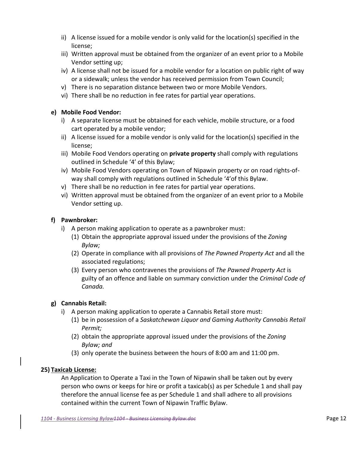- ii) A license issued for a mobile vendor is only valid for the location(s) specified in the license;
- iii) Written approval must be obtained from the organizer of an event prior to a Mobile Vendor setting up;
- iv) A license shall not be issued for a mobile vendor for a location on public right of way or a sidewalk; unless the vendor has received permission from Town Council;
- v) There is no separation distance between two or more Mobile Vendors.
- vi) There shall be no reduction in fee rates for partial year operations.

# **e) Mobile Food Vendor:**

- i) A separate license must be obtained for each vehicle, mobile structure, or a food cart operated by a mobile vendor;
- ii) A license issued for a mobile vendor is only valid for the location(s) specified in the license;
- iii) Mobile Food Vendors operating on **private property** shall comply with regulations outlined in Schedule '4' of this Bylaw;
- iv) Mobile Food Vendors operating on Town of Nipawin property or on road rights-ofway shall comply with regulations outlined in Schedule '4'of this Bylaw.
- v) There shall be no reduction in fee rates for partial year operations.
- vi) Written approval must be obtained from the organizer of an event prior to a Mobile Vendor setting up.

# **f) Pawnbroker:**

- i) A person making application to operate as a pawnbroker must:
	- (1) Obtain the appropriate approval issued under the provisions of the *Zoning Bylaw;*
	- (2) Operate in compliance with all provisions of *The Pawned Property Act* and all the associated regulations;
	- (3) Every person who contravenes the provisions of *The Pawned Property Act* is guilty of an offence and liable on summary conviction under the *Criminal Code of Canada.*

# **g) Cannabis Retail:**

- i) A person making application to operate a Cannabis Retail store must:
	- (1) be in possession of a *Saskatchewan Liquor and Gaming Authority Cannabis Retail Permit;*
	- (2) obtain the appropriate approval issued under the provisions of the *Zoning Bylaw; and*
	- (3) only operate the business between the hours of 8:00 am and 11:00 pm.

# **25) Taxicab License:**

An Application to Operate a Taxi in the Town of Nipawin shall be taken out by every person who owns or keeps for hire or profit a taxicab(s) as per Schedule 1 and shall pay therefore the annual license fee as per Schedule 1 and shall adhere to all provisions contained within the current Town of Nipawin Traffic Bylaw.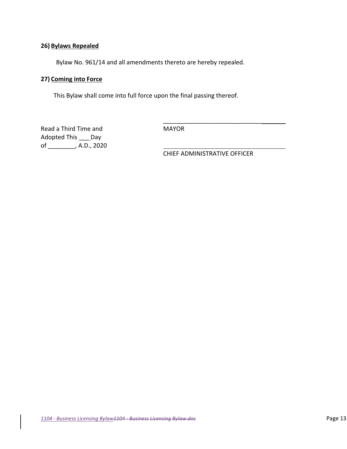# **26) Bylaws Repealed**

Bylaw No. 961/14 and all amendments thereto are hereby repealed.

# **27) Coming into Force**

This Bylaw shall come into full force upon the final passing thereof.

Read a Third Time and MAYOR Adopted This \_\_\_ Day of \_\_\_\_\_\_\_\_, A.D., 2020

 $\overline{\phantom{a}}$  ,  $\overline{\phantom{a}}$  ,  $\overline{\phantom{a}}$  ,  $\overline{\phantom{a}}$  ,  $\overline{\phantom{a}}$  ,  $\overline{\phantom{a}}$  ,  $\overline{\phantom{a}}$  ,  $\overline{\phantom{a}}$  ,  $\overline{\phantom{a}}$  ,  $\overline{\phantom{a}}$  ,  $\overline{\phantom{a}}$  ,  $\overline{\phantom{a}}$  ,  $\overline{\phantom{a}}$  ,  $\overline{\phantom{a}}$  ,  $\overline{\phantom{a}}$  ,  $\overline{\phantom{a}}$ 

CHIEF ADMINISTRATIVE OFFICER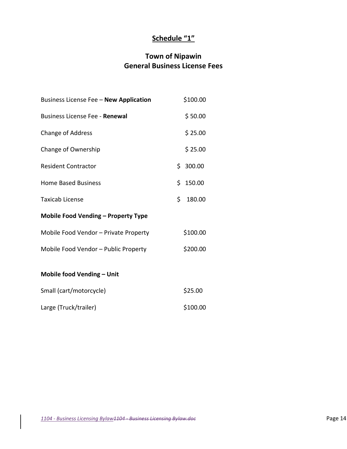# **Schedule "1"**

# **Town of Nipawin General Business License Fees**

| Business License Fee - New Application     |    | \$100.00 |
|--------------------------------------------|----|----------|
| <b>Business License Fee - Renewal</b>      |    | \$50.00  |
| Change of Address                          |    | \$25.00  |
| Change of Ownership                        |    | \$25.00  |
| <b>Resident Contractor</b>                 |    | \$300.00 |
| <b>Home Based Business</b>                 |    | \$150.00 |
| <b>Taxicab License</b>                     | Ś. | 180.00   |
| <b>Mobile Food Vending - Property Type</b> |    |          |
| Mobile Food Vendor - Private Property      |    | \$100.00 |
| Mobile Food Vendor - Public Property       |    | \$200.00 |
| Mobile food Vending - Unit                 |    |          |
| Small (cart/motorcycle)                    |    | \$25.00  |
| Large (Truck/trailer)                      |    | \$100.00 |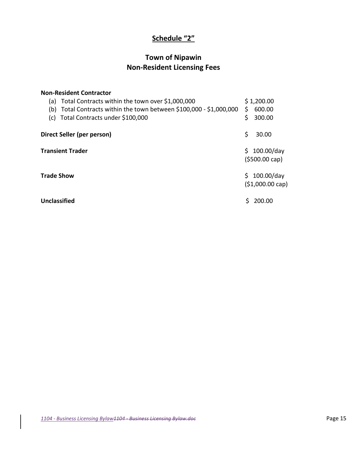# **Schedule "2"**

# **Town of Nipawin Non-Resident Licensing Fees**

| <b>Non-Resident Contractor</b><br>Total Contracts within the town over \$1,000,000<br>(a)<br>Total Contracts within the town between \$100,000 - \$1,000,000<br>(b)<br>Total Contracts under \$100,000<br>(c) | \$1,200.00<br>\$<br>600.00<br>\$<br>300.00        |
|---------------------------------------------------------------------------------------------------------------------------------------------------------------------------------------------------------------|---------------------------------------------------|
| Direct Seller (per person)                                                                                                                                                                                    | Ś<br>30.00                                        |
| <b>Transient Trader</b>                                                                                                                                                                                       | Ś.<br>$100.00$ /day<br>$(5500.00 \text{ cap})$    |
| <b>Trade Show</b>                                                                                                                                                                                             | $100.00$ /day<br>\$.<br>$(51,000.00 \text{ cap})$ |
| Unclassified                                                                                                                                                                                                  | 200.00                                            |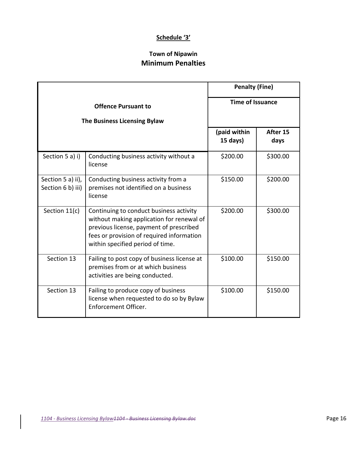# **Schedule '3'**

# **Town of Nipawin Minimum Penalties**

|                                        |                                                                                                                                                                                                                  | <b>Penalty (Fine)</b>    |                  |
|----------------------------------------|------------------------------------------------------------------------------------------------------------------------------------------------------------------------------------------------------------------|--------------------------|------------------|
|                                        | <b>Offence Pursuant to</b><br>The Business Licensing Bylaw                                                                                                                                                       | <b>Time of Issuance</b>  |                  |
|                                        |                                                                                                                                                                                                                  | (paid within<br>15 days) | After 15<br>days |
| Section 5 a) i)                        | Conducting business activity without a<br>license                                                                                                                                                                | \$200.00                 | \$300.00         |
| Section 5 a) ii),<br>Section 6 b) iii) | Conducting business activity from a<br>premises not identified on a business<br>license                                                                                                                          | \$150.00                 | \$200.00         |
| Section 11(c)                          | Continuing to conduct business activity<br>without making application for renewal of<br>previous license, payment of prescribed<br>fees or provision of required information<br>within specified period of time. | \$200.00                 | \$300.00         |
| Section 13                             | Failing to post copy of business license at<br>premises from or at which business<br>activities are being conducted.                                                                                             | \$100.00                 | \$150.00         |
| Section 13                             | Failing to produce copy of business<br>license when requested to do so by Bylaw<br>Enforcement Officer.                                                                                                          | \$100.00                 | \$150.00         |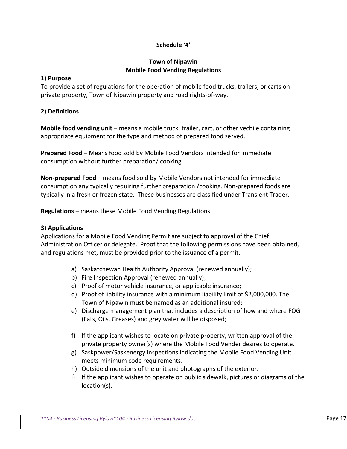# **Schedule '4'**

# **Town of Nipawin Mobile Food Vending Regulations**

# **1) Purpose**

To provide a set of regulations for the operation of mobile food trucks, trailers, or carts on private property, Town of Nipawin property and road rights-of-way.

# **2) Definitions**

**Mobile food vending unit** – means a mobile truck, trailer, cart, or other vechile containing appropriate equipment for the type and method of prepared food served.

**Prepared Food** – Means food sold by Mobile Food Vendors intended for immediate consumption without further preparation/ cooking.

**Non-prepared Food** – means food sold by Mobile Vendors not intended for immediate consumption any typically requiring further preparation /cooking. Non-prepared foods are typically in a fresh or frozen state. These businesses are classified under Transient Trader.

**Regulations** – means these Mobile Food Vending Regulations

# **3) Applications**

Applications for a Mobile Food Vending Permit are subject to approval of the Chief Administration Officer or delegate. Proof that the following permissions have been obtained, and regulations met, must be provided prior to the issuance of a permit.

- a) Saskatchewan Health Authority Approval (renewed annually);
- b) Fire Inspection Approval (renewed annually);
- c) Proof of motor vehicle insurance, or applicable insurance;
- d) Proof of liability insurance with a minimum liability limit of \$2,000,000. The Town of Nipawin must be named as an additional insured;
- e) Discharge management plan that includes a description of how and where FOG (Fats, Oils, Greases) and grey water will be disposed;
- f) If the applicant wishes to locate on private property, written approval of the private property owner(s) where the Mobile Food Vender desires to operate.
- g) Saskpower/Saskenergy Inspections indicating the Mobile Food Vending Unit meets minimum code requirements.
- h) Outside dimensions of the unit and photographs of the exterior.
- i) If the applicant wishes to operate on public sidewalk, pictures or diagrams of the location(s).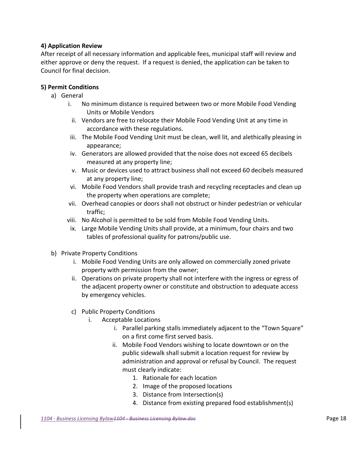# **4) Application Review**

After receipt of all necessary information and applicable fees, municipal staff will review and either approve or deny the request. If a request is denied, the application can be taken to Council for final decision.

# **5) Permit Conditions**

- a) General
	- i. No minimum distance is required between two or more Mobile Food Vending Units or Mobile Vendors
		- ii. Vendors are free to relocate their Mobile Food Vending Unit at any time in accordance with these regulations.
	- iii. The Mobile Food Vending Unit must be clean, well lit, and alethically pleasing in appearance;
	- iv. Generators are allowed provided that the noise does not exceed 65 decibels measured at any property line;
	- v. Music or devices used to attract business shall not exceed 60 decibels measured at any property line;
	- vi. Mobile Food Vendors shall provide trash and recycling receptacles and clean up the property when operations are complete;
	- vii. Overhead canopies or doors shall not obstruct or hinder pedestrian or vehicular traffic;
	- viii. No Alcohol is permitted to be sold from Mobile Food Vending Units.
	- ix. Large Mobile Vending Units shall provide, at a minimum, four chairs and two tables of professional quality for patrons/public use.
- b) Private Property Conditions
	- i. Mobile Food Vending Units are only allowed on commercially zoned private property with permission from the owner;
	- ii. Operations on private property shall not interfere with the ingress or egress of the adjacent property owner or constitute and obstruction to adequate access by emergency vehicles.
	- c) Public Property Conditions
		- i. Acceptable Locations
			- i. Parallel parking stalls immediately adjacent to the "Town Square" on a first come first served basis.
			- ii. Mobile Food Vendors wishing to locate downtown or on the public sidewalk shall submit a location request for review by administration and approval or refusal by Council. The request must clearly indicate:
				- 1. Rationale for each location
				- 2. Image of the proposed locations
				- 3. Distance from Intersection(s)
				- 4. Distance from existing prepared food establishment(s)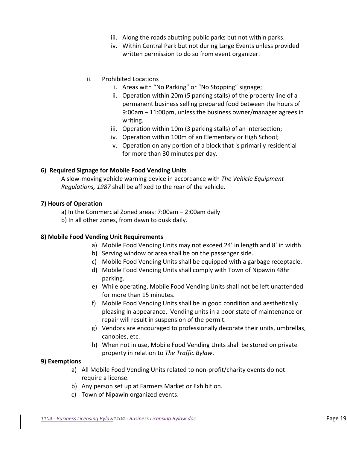- iii. Along the roads abutting public parks but not within parks.
- iv. Within Central Park but not during Large Events unless provided written permission to do so from event organizer.
- ii. Prohibited Locations
	- i. Areas with "No Parking" or "No Stopping" signage;
	- ii. Operation within 20m (5 parking stalls) of the property line of a permanent business selling prepared food between the hours of 9:00am – 11:00pm, unless the business owner/manager agrees in writing.
	- iii. Operation within 10m (3 parking stalls) of an intersection;
	- iv. Operation within 100m of an Elementary or High School;
	- v. Operation on any portion of a block that is primarily residential for more than 30 minutes per day.

## **6) Required Signage for Mobile Food Vending Units**

A slow-moving vehicle warning device in accordance with *The Vehicle Equipment Regulations, 1987* shall be affixed to the rear of the vehicle.

#### **7) Hours of Operation**

- a) In the Commercial Zoned areas: 7:00am 2:00am daily
- b) In all other zones, from dawn to dusk daily.

## **8) Mobile Food Vending Unit Requirements**

- a) Mobile Food Vending Units may not exceed 24' in length and 8' in width
- b) Serving window or area shall be on the passenger side.
- c) Mobile Food Vending Units shall be equipped with a garbage receptacle.
- d) Mobile Food Vending Units shall comply with Town of Nipawin 48hr parking.
- e) While operating, Mobile Food Vending Units shall not be left unattended for more than 15 minutes.
- f) Mobile Food Vending Units shall be in good condition and aesthetically pleasing in appearance. Vending units in a poor state of maintenance or repair will result in suspension of the permit.
- g) Vendors are encouraged to professionally decorate their units, umbrellas, canopies, etc.
- h) When not in use, Mobile Food Vending Units shall be stored on private property in relation to *The Traffic Bylaw*.

## **9) Exemptions**

- a) All Mobile Food Vending Units related to non-profit/charity events do not require a license.
- b) Any person set up at Farmers Market or Exhibition.
- c) Town of Nipawin organized events.